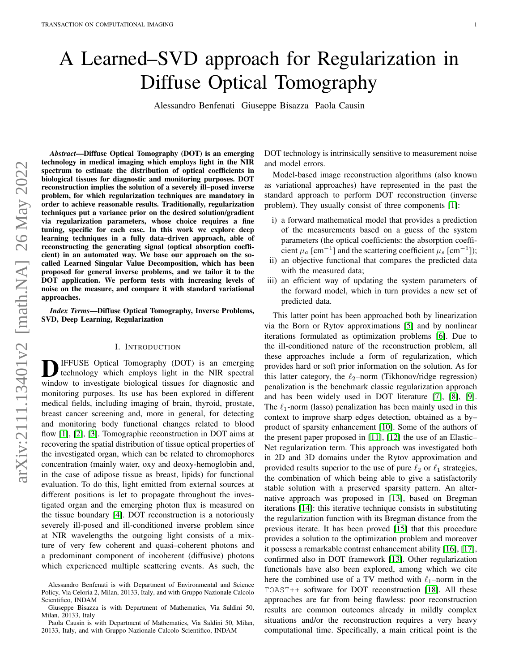# A Learned–SVD approach for Regularization in Diffuse Optical Tomography

Alessandro Benfenati Giuseppe Bisazza Paola Causin

*Abstract*—Diffuse Optical Tomography (DOT) is an emerging technology in medical imaging which employs light in the NIR spectrum to estimate the distribution of optical coefficients in biological tissues for diagnostic and monitoring purposes. DOT reconstruction implies the solution of a severely ill–posed inverse problem, for which regularization techniques are mandatory in order to achieve reasonable results. Traditionally, regularization techniques put a variance prior on the desired solution/gradient via regularization parameters, whose choice requires a fine tuning, specific for each case. In this work we explore deep learning techniques in a fully data–driven approach, able of reconstructing the generating signal (optical absorption coefficient) in an automated way. We base our approach on the socalled Learned Singular Value Decomposition, which has been proposed for general inverse problems, and we tailor it to the DOT application. We perform tests with increasing levels of noise on the measure, and compare it with standard variational approaches.

*Index Terms*—Diffuse Optical Tomography, Inverse Problems, SVD, Deep Learning, Regularization

#### I. INTRODUCTION

**D**IFFUSE Optical Tomography (DOT) is an emerging technology which employs light in the NIR spectral window to investigate biological tissues for diagnostic and IFFUSE Optical Tomography (DOT) is an emerging technology which employs light in the NIR spectral monitoring purposes. Its use has been explored in different medical fields, including imaging of brain, thyroid, prostate, breast cancer screening and, more in general, for detecting and monitoring body functional changes related to blood flow [\[1\]](#page-8-0), [\[2\]](#page-8-1), [\[3\]](#page-8-2). Tomographic reconstruction in DOT aims at recovering the spatial distribution of tissue optical properties of the investigated organ, which can be related to chromophores concentration (mainly water, oxy and deoxy-hemoglobin and, in the case of adipose tissue as breast, lipids) for functional evaluation. To do this, light emitted from external sources at different positions is let to propagate throughout the investigated organ and the emerging photon flux is measured on the tissue boundary [\[4\]](#page-8-3). DOT reconstruction is a notoriously severely ill-posed and ill-conditioned inverse problem since at NIR wavelengths the outgoing light consists of a mixture of very few coherent and quasi–coherent photons and a predominant component of incoherent (diffusive) photons which experienced multiple scattering events. As such, the DOT technology is intrinsically sensitive to measurement noise and model errors.

Model-based image reconstruction algorithms (also known as variational approaches) have represented in the past the standard approach to perform DOT reconstruction (inverse problem). They usually consist of three components [\[1\]](#page-8-0):

- i) a forward mathematical model that provides a prediction of the measurements based on a guess of the system parameters (the optical coefficients: the absorption coefficient  $\mu_a$  [cm<sup>-1</sup>] and the scattering coefficient  $\mu_s$  [cm<sup>-1</sup>]);
- ii) an objective functional that compares the predicted data with the measured data;
- iii) an efficient way of updating the system parameters of the forward model, which in turn provides a new set of predicted data.

This latter point has been approached both by linearization via the Born or Rytov approximations [\[5\]](#page-8-4) and by nonlinear iterations formulated as optimization problems [\[6\]](#page-8-5). Due to the ill-conditioned nature of the reconstruction problem, all these approaches include a form of regularization, which provides hard or soft prior information on the solution. As for this latter category, the  $\ell_2$ –norm (Tikhonov/ridge regression) penalization is the benchmark classic regularization approach and has been widely used in DOT literature [\[7\]](#page-8-6), [\[8\]](#page-8-7), [\[9\]](#page-8-8). The  $\ell_1$ -norm (lasso) penalization has been mainly used in this context to improve sharp edges detection, obtained as a by– product of sparsity enhancement [\[10\]](#page-8-9). Some of the authors of the present paper proposed in [\[11\]](#page-8-10), [\[12\]](#page-8-11) the use of an Elastic– Net regularization term. This approach was investigated both in 2D and 3D domains under the Rytov approximation and provided results superior to the use of pure  $\ell_2$  or  $\ell_1$  strategies, the combination of which being able to give a satisfactorily stable solution with a preserved sparsity pattern. An alternative approach was proposed in [\[13\]](#page-8-12), based on Bregman iterations [\[14\]](#page-8-13): this iterative technique consists in substituting the regularization function with its Bregman distance from the previous iterate. It has been proved [\[15\]](#page-8-14) that this procedure provides a solution to the optimization problem and moreover it possess a remarkable contrast enhancement ability [\[16\]](#page-8-15), [\[17\]](#page-8-16), confirmed also in DOT framework [\[13\]](#page-8-12). Other regularization functionals have also been explored, among which we cite here the combined use of a TV method with  $\ell_1$ –norm in the TOAST++ software for DOT reconstruction [\[18\]](#page-8-17). All these approaches are far from being flawless: poor reconstruction results are common outcomes already in mildly complex situations and/or the reconstruction requires a very heavy computational time. Specifically, a main critical point is the

Alessandro Benfenati is with Department of Environmental and Science Policy, Via Celoria 2, Milan, 20133, Italy, and with Gruppo Nazionale Calcolo Scientifico, INDAM

Giuseppe Bisazza is with Department of Mathematics, Via Saldini 50, Milan, 20133, Italy

Paola Causin is with Department of Mathematics, Via Saldini 50, Milan, 20133, Italy, and with Gruppo Nazionale Calcolo Scientifico, INDAM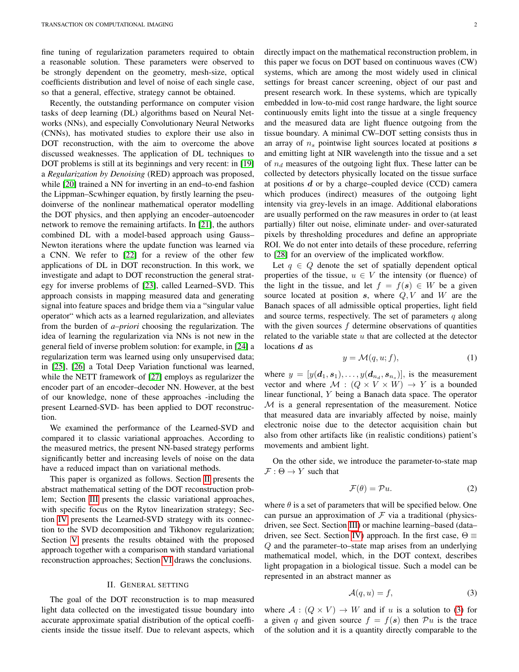fine tuning of regularization parameters required to obtain a reasonable solution. These parameters were observed to be strongly dependent on the geometry, mesh-size, optical coefficients distribution and level of noise of each single case, so that a general, effective, strategy cannot be obtained.

Recently, the outstanding performance on computer vision tasks of deep learning (DL) algorithms based on Neural Networks (NNs), and especially Convolutionary Neural Networks (CNNs), has motivated studies to explore their use also in DOT reconstruction, with the aim to overcome the above discussed weaknesses. The application of DL techniques to DOT problems is still at its beginnings and very recent: in [\[19\]](#page-8-18) a *Regularization by Denoising* (RED) approach was proposed, while [\[20\]](#page-8-19) trained a NN for inverting in an end–to-end fashion the Lippman–Scwhinger equation, by firstly learning the pseudoinverse of the nonlinear mathematical operator modelling the DOT physics, and then applying an encoder–autoencoder network to remove the remaining artifacts. In [\[21\]](#page-9-0), the authors combined DL with a model-based approach using Gauss– Newton iterations where the update function was learned via a CNN. We refer to [\[22\]](#page-9-1) for a review of the other few applications of DL in DOT reconstruction. In this work, we investigate and adapt to DOT reconstruction the general strategy for inverse problems of [\[23\]](#page-9-2), called Learned–SVD. This approach consists in mapping measured data and generating signal into feature spaces and bridge them via a "singular value operator" which acts as a learned regularization, and alleviates from the burden of *a–priori* choosing the regularization. The idea of learning the regularization via NNs is not new in the general field of inverse problem solution: for example, in [\[24\]](#page-9-3) a regularization term was learned using only unsupervised data; in [\[25\]](#page-9-4), [\[26\]](#page-9-5) a Total Deep Variation functional was learned, while the NETT framework of [\[27\]](#page-9-6) employs as regularizer the encoder part of an encoder–decoder NN. However, at the best of our knowledge, none of these approaches -including the present Learned-SVD- has been applied to DOT reconstruction.

We examined the performance of the Learned-SVD and compared it to classic variational approaches. According to the measured metrics, the present NN-based strategy performs significantly better and increasing levels of noise on the data have a reduced impact than on variational methods.

This paper is organized as follows. Section [II](#page-1-0) presents the abstract mathematical setting of the DOT reconstruction problem; Section [III](#page-2-0) presents the classic variational approaches, with specific focus on the Rytov linearization strategy; Section [IV](#page-3-0) presents the Learned-SVD strategy with its connection to the SVD decomposition and Tikhonov regularization; Section [V](#page-4-0) presents the results obtained with the proposed approach together with a comparison with standard variational reconstruction approaches; Section [VI](#page-7-0) draws the conclusions.

## II. GENERAL SETTING

<span id="page-1-0"></span>The goal of the DOT reconstruction is to map measured light data collected on the investigated tissue boundary into accurate approximate spatial distribution of the optical coefficients inside the tissue itself. Due to relevant aspects, which directly impact on the mathematical reconstruction problem, in this paper we focus on DOT based on continuous waves (CW) systems, which are among the most widely used in clinical settings for breast cancer screening, object of our past and present research work. In these systems, which are typically embedded in low-to-mid cost range hardware, the light source continuously emits light into the tissue at a single frequency and the measured data are light fluence outgoing from the tissue boundary. A minimal CW–DOT setting consists thus in an array of  $n<sub>s</sub>$  pointwise light sources located at positions  $s$ and emitting light at NIR wavelength into the tissue and a set of  $n_d$  measures of the outgoing light flux. These latter can be collected by detectors physically located on the tissue surface at positions  $d$  or by a charge–coupled device (CCD) camera which produces (indirect) measures of the outgoing light intensity via grey-levels in an image. Additional elaborations are usually performed on the raw measures in order to (at least partially) filter out noise, eliminate under- and over-saturated pixels by thresholding procedures and define an appropriate ROI. We do not enter into details of these procedure, referring to [\[28\]](#page-9-7) for an overview of the implicated workflow.

Let  $q \in Q$  denote the set of spatially dependent optical properties of the tissue,  $u \in V$  the intensity (or fluence) of the light in the tissue, and let  $f = f(s) \in W$  be a given source located at position  $s$ , where  $Q, V$  and  $W$  are the Banach spaces of all admissible optical properties, light field and source terms, respectively. The set of parameters  $q$  along with the given sources  $f$  determine observations of quantities related to the variable state  $u$  that are collected at the detector locations d as

<span id="page-1-2"></span>
$$
y = \mathcal{M}(q, u; f), \tag{1}
$$

where  $y = [y(\boldsymbol{d}_1, \boldsymbol{s}_1), \dots, y(\boldsymbol{d}_{n_d}, \boldsymbol{s}_{n_s})]$ , is the measurement vector and where  $M : (Q \times V \times W) \rightarrow Y$  is a bounded linear functional, Y being a Banach data space. The operator  $M$  is a general representation of the measurement. Notice that measured data are invariably affected by noise, mainly electronic noise due to the detector acquisition chain but also from other artifacts like (in realistic conditions) patient's movements and ambient light.

On the other side, we introduce the parameter-to-state map  $\mathcal{F}: \Theta \to Y$  such that

$$
\mathcal{F}(\theta) = \mathcal{P}u. \tag{2}
$$

where  $\theta$  is a set of parameters that will be specified below. One can pursue an approximation of  $\mathcal F$  via a traditional (physicsdriven, see Sect. Section [III\)](#page-2-0) or machine learning–based (data– driven, see Sect. Section [IV\)](#page-3-0) approach. In the first case,  $\Theta \equiv$ Q and the parameter–to–state map arises from an underlying mathematical model, which, in the DOT context, describes light propagation in a biological tissue. Such a model can be represented in an abstract manner as

<span id="page-1-1"></span>
$$
\mathcal{A}(q, u) = f,\tag{3}
$$

where  $A: (Q \times V) \rightarrow W$  and if u is a solution to [\(3\)](#page-1-1) for a given q and given source  $f = f(s)$  then  $\mathcal{P}u$  is the trace of the solution and it is a quantity directly comparable to the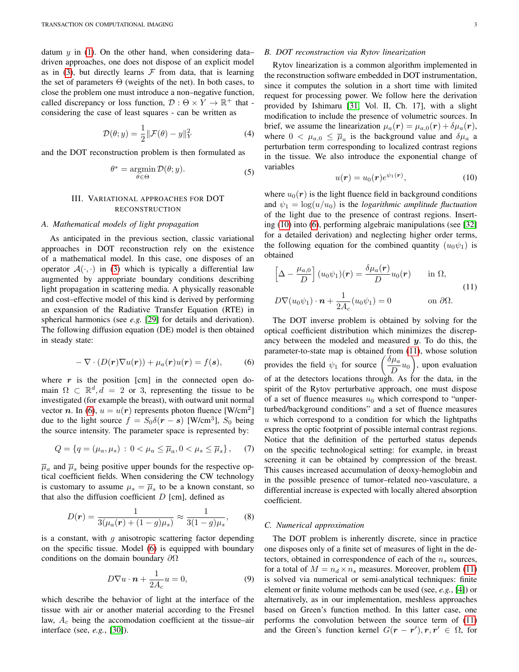datum  $y$  in [\(1\)](#page-1-2). On the other hand, when considering data– driven approaches, one does not dispose of an explicit model as in [\(3\)](#page-1-1), but directly learns  $\mathcal F$  from data, that is learning the set of parameters  $\Theta$  (weights of the net). In both cases, to close the problem one must introduce a non–negative function, called discrepancy or loss function,  $\mathcal{D}: \Theta \times \overline{Y} \to \mathbb{R}^+$  that considering the case of least squares - can be written as

$$
\mathcal{D}(\theta; y) = \frac{1}{2} \|\mathcal{F}(\theta) - y\|_{Y}^{2}
$$
 (4)

and the DOT reconstruction problem is then formulated as

$$
\theta^* = \operatorname*{argmin}_{\theta \in \Theta} \mathcal{D}(\theta; y). \tag{5}
$$

# III. VARIATIONAL APPROACHES FOR DOT RECONSTRUCTION

# <span id="page-2-0"></span>*A. Mathematical models of light propagation*

As anticipated in the previous section, classic variational approaches in DOT reconstruction rely on the existence of a mathematical model. In this case, one disposes of an operator  $\mathcal{A}(\cdot, \cdot)$  in [\(3\)](#page-1-1) which is typically a differential law augmented by appropriate boundary conditions describing light propagation in scattering media. A physically reasonable and cost–effective model of this kind is derived by performing an expansion of the Radiative Transfer Equation (RTE) in spherical harmonics (see *e.g.* [\[29\]](#page-9-8) for details and derivation). The following diffusion equation (DE) model is then obtained in steady state:

<span id="page-2-1"></span>
$$
-\nabla \cdot (D(\mathbf{r}) \nabla u(\mathbf{r})) + \mu_a(\mathbf{r}) u(\mathbf{r}) = f(\mathbf{s}), \quad (6)
$$

where  $r$  is the position [cm] in the connected open domain  $\Omega \subset \mathbb{R}^d, d = 2$  or 3, representing the tissue to be investigated (for example the breast), with outward unit normal vector *n*. In [\(6\)](#page-2-1),  $u = u(r)$  represents photon fluence [W/cm<sup>2</sup>] due to the light source  $f = S_0 \delta(r - s)$  [W/cm<sup>3</sup>],  $S_0$  being the source intensity. The parameter space is represented by:

$$
Q = \{ q = (\mu_a, \mu_s) : 0 < \mu_a \le \overline{\mu}_a, 0 < \mu_s \le \overline{\mu}_s \}, \quad (7)
$$

 $\overline{\mu}_a$  and  $\overline{\mu}_s$  being positive upper bounds for the respective optical coefficient fields. When considering the CW technology is customary to assume  $\mu_s = \overline{\mu}_s$  to be a known constant, so that also the diffusion coefficient  $D$  [cm], defined as

$$
D(\mathbf{r}) = \frac{1}{3(\mu_a(\mathbf{r}) + (1 - g)\mu_s)} \approx \frac{1}{3(1 - g)\mu_s},\qquad(8)
$$

is a constant, with  $g$  anisotropic scattering factor depending on the specific tissue. Model [\(6\)](#page-2-1) is equipped with boundary conditions on the domain boundary  $\partial\Omega$ 

$$
D\nabla u \cdot \mathbf{n} + \frac{1}{2A_c} u = 0, \tag{9}
$$

which describe the behavior of light at the interface of the tissue with air or another material according to the Fresnel law,  $A_c$  being the accomodation coefficient at the tissue–air interface (see, *e.g.*, [\[30\]](#page-9-9)).

# *B. DOT reconstruction via Rytov linearization*

Rytov linearization is a common algorithm implemented in the reconstruction software embedded in DOT instrumentation, since it computes the solution in a short time with limited request for processing power. We follow here the derivation provided by Ishimaru [\[31,](#page-9-10) Vol. II, Ch. 17], with a slight modification to include the presence of volumetric sources. In brief, we assume the linearization  $\mu_a(\mathbf{r}) = \mu_{a,0}(\mathbf{r}) + \delta \mu_a(\mathbf{r}),$ where  $0 < \mu_{a,0} \leq \overline{\mu}_a$  is the background value and  $\delta \mu_a$  a perturbation term corresponding to localized contrast regions in the tissue. We also introduce the exponential change of variables

<span id="page-2-2"></span>
$$
u(\mathbf{r}) = u_0(\mathbf{r})e^{\psi_1(\mathbf{r})},\tag{10}
$$

where  $u_0(r)$  is the light fluence field in background conditions and  $\psi_1 = \log(u/u_0)$  is the *logarithmic amplitude fluctuation* of the light due to the presence of contrast regions. Inserting [\(10\)](#page-2-2) into [\(6\)](#page-2-1), performing algebraic manipulations (see [\[32\]](#page-9-11) for a detailed derivation) and neglecting higher order terms, the following equation for the combined quantity  $(u_0\psi_1)$  is obtained

<span id="page-2-3"></span>
$$
\[\Delta - \frac{\mu_{a,0}}{D}\] (u_0 \psi_1)(r) = \frac{\delta \mu_a(r)}{D} u_0(r) \quad \text{in } \Omega, \nD \nabla (u_0 \psi_1) \cdot \mathbf{n} + \frac{1}{2A_c} (u_0 \psi_1) = 0 \quad \text{on } \partial \Omega.
$$
\n(11)

The DOT inverse problem is obtained by solving for the optical coefficient distribution which minimizes the discrepancy between the modeled and measured  $y$ . To do this, the parameter-to-state map is obtained from [\(11\)](#page-2-3), whose solution provides the field  $\psi_1$  for source  $\left(\frac{\delta\mu_a}{D}\right)$  $\left(\frac{\mu_a}{D}u_0\right)$ , upon evaluation of at the detectors locations through. As for the data, in the spirit of the Rytov perturbative approach, one must dispose of a set of fluence measures  $u_0$  which correspond to "unperturbed/background conditions" and a set of fluence measures  $u$  which correspond to a condition for which the lightpaths express the optic footprint of possible internal contrast regions. Notice that the definition of the perturbed status depends on the specific technological setting: for example, in breast screening it can be obtained by compression of the breast. This causes increased accumulation of deoxy-hemoglobin and in the possible presence of tumor–related neo-vasculature, a differential increase is expected with locally altered absorption coefficient.

### *C. Numerical approximation*

The DOT problem is inherently discrete, since in practice one disposes only of a finite set of measures of light in the detectors, obtained in correspondence of each of the  $n<sub>s</sub>$  sources, for a total of  $M = n_d \times n_s$  measures. Moreover, problem [\(11\)](#page-2-3) is solved via numerical or semi-analytical techniques: finite element or finite volume methods can be used (see, *e.g.*, [\[4\]](#page-8-3)) or alternatively, as in our implementation, meshless approaches based on Green's function method. In this latter case, one performs the convolution between the source term of [\(11\)](#page-2-3) and the Green's function kernel  $G(\mathbf{r} - \mathbf{r}')$ ,  $\mathbf{r}, \mathbf{r}' \in \Omega$ , for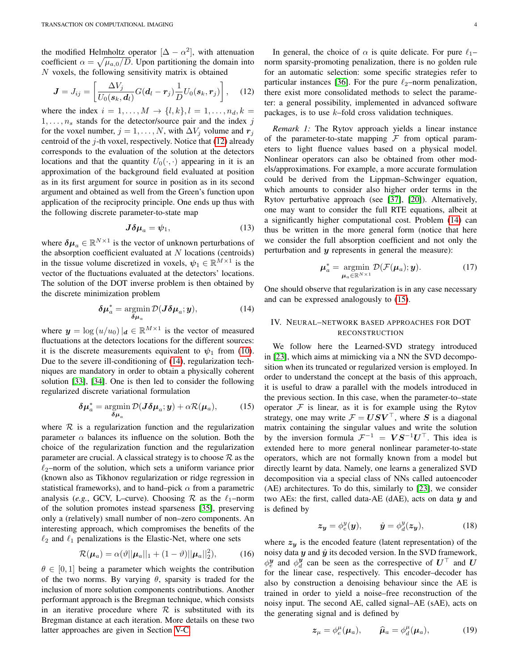the modified Helmholtz operator  $[\Delta - \alpha^2]$ , with attenuation coefficient  $\alpha = \sqrt{\mu_{a,0}/D}$ . Upon partitioning the domain into  $N$  voxels, the following sensitivity matrix is obtained

<span id="page-3-1"></span>
$$
\boldsymbol{J} = J_{ij} = \left[ \frac{\Delta V_j}{U_0(\boldsymbol{s}_k, \boldsymbol{d}_l)} G(\boldsymbol{d}_l - \boldsymbol{r}_j) \frac{1}{D} U_0(\boldsymbol{s}_k, \boldsymbol{r}_j) \right], \quad (12)
$$

where the index  $i = 1, \ldots, M \rightarrow \{l, k\}, l = 1, \ldots, n_d, k =$  $1, \ldots, n_s$  stands for the detector/source pair and the index j for the voxel number,  $j = 1, \ldots, N$ , with  $\Delta V_j$  volume and  $r_j$ centroid of the  $i$ -th voxel, respectively. Notice that  $(12)$  already corresponds to the evaluation of the solution at the detectors locations and that the quantity  $U_0(\cdot, \cdot)$  appearing in it is an approximation of the background field evaluated at position as in its first argument for source in position as in its second argument and obtained as well from the Green's function upon application of the reciprocity principle. One ends up thus with the following discrete parameter-to-state map

$$
J\delta\mu_a = \psi_1,\tag{13}
$$

where  $\delta \mu_a \in \mathbb{R}^{N \times 1}$  is the vector of unknown perturbations of the absorption coefficient evaluated at  $N$  locations (centroids) in the tissue volume discretized in voxels,  $\psi_1 \in \mathbb{R}^{M \times 1}$  is the vector of the fluctuations evaluated at the detectors' locations. The solution of the DOT inverse problem is then obtained by the discrete minimization problem

<span id="page-3-2"></span>
$$
\delta \mu_a^* = \operatorname*{argmin}_{\delta \mu_a} \mathcal{D}(J \delta \mu_a; y), \tag{14}
$$

where  $y = \log(u/u_0)|_d \in \mathbb{R}^{M \times 1}$  is the vector of measured fluctuations at the detectors locations for the different sources: it is the discrete measurements equivalent to  $\psi_1$  from [\(10\)](#page-2-2). Due to the severe ill-conditioning of [\(14\)](#page-3-2), regularization techniques are mandatory in order to obtain a physically coherent solution [\[33\]](#page-9-12), [\[34\]](#page-9-13). One is then led to consider the following regularized discrete variational formulation

<span id="page-3-3"></span>
$$
\delta \mu_a^* = \operatorname*{argmin}_{\delta \mu_a} \mathcal{D}(J \delta \mu_a; y) + \alpha \mathcal{R}(\mu_a), \tag{15}
$$

where  $\mathcal R$  is a regularization function and the regularization parameter  $\alpha$  balances its influence on the solution. Both the choice of the regularization function and the regularization parameter are crucial. A classical strategy is to choose  $R$  as the  $\ell_2$ –norm of the solution, which sets a uniform variance prior (known also as Tikhonov regularization or ridge regression in statistical frameworks), and to hand–pick  $\alpha$  from a parametric analysis (*e.g.*, GCV, L–curve). Choosing  $\mathcal R$  as the  $\ell_1$ –norm of the solution promotes instead sparseness [\[35\]](#page-9-14), preserving only a (relatively) small number of non–zero components. An interesting approach, which compromises the benefits of the  $\ell_2$  and  $\ell_1$  penalizations is the Elastic-Net, where one sets

$$
\mathcal{R}(\boldsymbol{\mu}_a) = \alpha(\vartheta || \boldsymbol{\mu}_a ||_1 + (1 - \vartheta) || \boldsymbol{\mu}_a ||_2^2), \quad (16)
$$

 $\theta \in [0, 1]$  being a parameter which weights the contribution of the two norms. By varying  $\theta$ , sparsity is traded for the inclusion of more solution components contributions. Another performant approach is the Bregman technique, which consists in an iterative procedure where  $R$  is substituted with its Bregman distance at each iteration. More details on these two latter approaches are given in Section [V-C.](#page-5-0)

In general, the choice of  $\alpha$  is quite delicate. For pure  $\ell_1$ – norm sparsity-promoting penalization, there is no golden rule for an automatic selection: some specific strategies refer to particular instances [\[36\]](#page-9-15). For the pure  $\ell_2$ –norm penalization, there exist more consolidated methods to select the parameter: a general possibility, implemented in advanced software packages, is to use  $k$ –fold cross validation techniques.

*Remark 1:* The Rytov approach yields a linear instance of the parameter-to-state mapping  $\mathcal F$  from optical parameters to light fluence values based on a physical model. Nonlinear operators can also be obtained from other models/approximations. For example, a more accurate formulation could be derived from the Lippman–Schwinger equation, which amounts to consider also higher order terms in the Rytov perturbative approach (see [\[37\]](#page-9-16), [\[20\]](#page-8-19)). Alternatively, one may want to consider the full RTE equations, albeit at a significantly higher computational cost. Problem [\(14\)](#page-3-2) can thus be written in the more general form (notice that here we consider the full absorption coefficient and not only the perturbation and  $y$  represents in general the measure):

$$
\boldsymbol{\mu}_a^* = \operatorname*{argmin}_{\boldsymbol{\mu}_a \in \mathbb{R}^{N \times 1}} \mathcal{D}(\mathcal{F}(\boldsymbol{\mu}_a); \boldsymbol{y}). \tag{17}
$$

One should observe that regularization is in any case necessary and can be expressed analogously to [\(15\)](#page-3-3).

# <span id="page-3-0"></span>IV. NEURAL–NETWORK BASED APPROACHES FOR DOT RECONSTRUCTION

We follow here the Learned-SVD strategy introduced in [\[23\]](#page-9-2), which aims at mimicking via a NN the SVD decomposition when its truncated or regularized version is employed. In order to understand the concept at the basis of this approach, it is useful to draw a parallel with the models introduced in the previous section. In this case, when the parameter-to–state operator  $F$  is linear, as it is for example using the Rytov strategy, one may write  $\mathcal{F} = \boldsymbol{U} \boldsymbol{S} \boldsymbol{V}^\top$ , where  $\boldsymbol{S}$  is a diagonal matrix containing the singular values and write the solution by the inversion formula  $\mathcal{F}^{-1} = VS^{-1}U^{\top}$ . This idea is extended here to more general nonlinear parameter-to-state operators, which are not formally known from a model but directly learnt by data. Namely, one learns a generalized SVD decomposition via a special class of NNs called autoencoder (AE) architectures. To do this, similarly to [\[23\]](#page-9-2), we consider two AEs: the first, called data-AE (dAE), acts on data  $y$  and is defined by

$$
\mathbf{z}_{\mathbf{y}} = \phi_e^y(\mathbf{y}), \qquad \hat{\mathbf{y}} = \phi_d^y(\mathbf{z}_{\mathbf{y}}), \tag{18}
$$

where  $z_y$  is the encoded feature (latent representation) of the noisy data  $y$  and  $\hat{y}$  its decoded version. In the SVD framework,  $\phi_e^{\mathbf{y}}$  and  $\phi_d^{\mathbf{y}}$  can be seen as the correspective of  $U^{\top}$  and  $U$ for the linear case, respectively. This encoder–decoder has also by construction a denoising behaviour since the AE is trained in order to yield a noise–free reconstruction of the noisy input. The second AE, called signal–AE (sAE), acts on the generating signal and is defined by

$$
z_{\mu} = \phi_e^{\mu}(\mu_a), \qquad \widehat{\mu}_a = \phi_d^{\mu}(\mu_a), \tag{19}
$$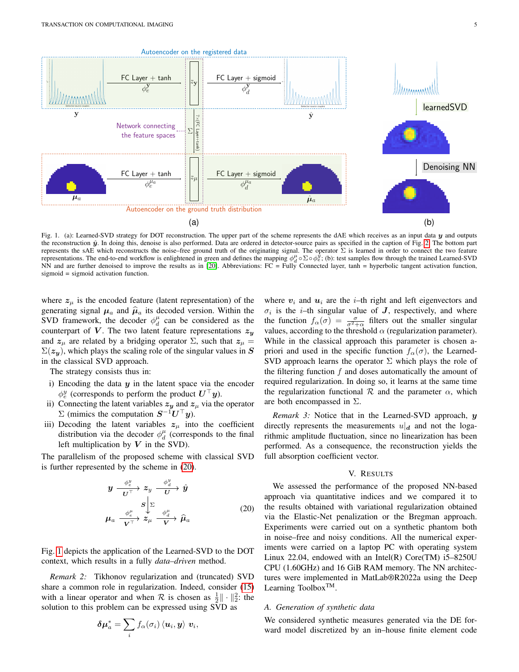<span id="page-4-3"></span>

<span id="page-4-2"></span>Fig. 1. (a): Learned-SVD strategy for DOT reconstruction. The upper part of the scheme represents the dAE which receives as an input data y and outputs the reconstruction  $\hat{y}$ . In doing this, denoise is also performed. Data are ordered in detector-source pairs as specified in the caption of Fig. [2.](#page-5-1) The bottom part represents the sAE which reconstructs the noise–free ground truth of the originating signal. The operator  $\Sigma$  is learned in order to connect the two feature representations. The end-to-end workflow is enlightened in green and defines the mapping  $\phi_d^{\mu} \circ \Sigma \circ \phi_e^{\mu}$ ; (b): test samples flow through the trained Learned-SVD NN and are further denoised to improve the results as in [\[20\]](#page-8-19). Abbreviations: FC = Fully Connected layer, tanh = hyperbolic tangent activation function, sigmoid = sigmoid activation function.

where  $z_{\mu}$  is the encoded feature (latent representation) of the generating signal  $\mu_a$  and  $\hat{\mu}_a$  its decoded version. Within the SVD framework, the decoder  $\phi_d^{\mu}$  can be considered as the counterpart of V. The two latent feature representations  $z_y$ and  $z_\mu$  are related by a bridging operator  $\Sigma$ , such that  $z_\mu =$  $\Sigma(z_{\nu})$ , which plays the scaling role of the singular values in S in the classical SVD approach.

The strategy consists thus in:

- i) Encoding the data  $y$  in the latent space via the encoder  $\phi^y_e$  (corresponds to perform the product  $\boldsymbol{U}^\top \boldsymbol{y}$ ).
- ii) Connecting the latent variables  $z_y$  and  $z_\mu$  via the operator  $\Sigma$  (mimics the computation  $S^{-1}U^{\top}y$ ).
- iii) Decoding the latent variables  $z_{\mu}$  into the coefficient distribution via the decoder  $\phi_d^{\mu}$  (corresponds to the final left multiplication by  $V$  in the SVD).

The parallelism of the proposed scheme with classical SVD is further represented by the scheme in [\(20\)](#page-4-1).

<span id="page-4-1"></span>
$$
y \xrightarrow{\phi_e^y} z_y \xrightarrow{\phi_d^y} \hat{y}
$$
  

$$
\mu_a \xrightarrow{\phi_e^{\mu}} z_\mu \xrightarrow{\phi_d^{\mu}} \hat{\mu}_a
$$
  

$$
(20)
$$

,

Fig. [1](#page-4-2) depicts the application of the Learned-SVD to the DOT context, which results in a fully *data–driven* method.

*Remark 2:* Tikhonov regularization and (truncated) SVD share a common role in regularization. Indeed, consider [\(15\)](#page-3-3) with a linear operator and when  $\mathcal R$  is chosen as  $\frac{1}{2} \|\cdot\|_2^2$ : the solution to this problem can be expressed using SVD as

$$
\boldsymbol{\delta\mu}^*_a = \sum_i f_\alpha(\sigma_i) \braket{\boldsymbol{u}_i,\boldsymbol{y}} \boldsymbol{v}_i
$$

<span id="page-4-4"></span>where  $v_i$  and  $u_i$  are the *i*-th right and left eigenvectors and  $\sigma_i$  is the *i*-th singular value of *J*, respectively, and where the function  $f_{\alpha}(\sigma) = \frac{\sigma}{\sigma^2 + \alpha}$  filters out the smaller singular values, according to the threshold  $\alpha$  (regularization parameter). While in the classical approach this parameter is chosen apriori and used in the specific function  $f_\alpha(\sigma)$ , the Learned-SVD approach learns the operator  $\Sigma$  which plays the role of the filtering function  $f$  and doses automatically the amount of required regularization. In doing so, it learns at the same time the regularization functional  $R$  and the parameter  $\alpha$ , which are both encompassed in  $\Sigma$ .

*Remark 3:* Notice that in the Learned-SVD approach, y directly represents the measurements  $u|_d$  and not the logarithmic amplitude fluctuation, since no linearization has been performed. As a consequence, the reconstruction yields the full absorption coefficient vector.

#### V. RESULTS

<span id="page-4-0"></span>We assessed the performance of the proposed NN-based approach via quantitative indices and we compared it to the results obtained with variational regularization obtained via the Elastic-Net penalization or the Bregman approach. Experiments were carried out on a synthetic phantom both in noise–free and noisy conditions. All the numerical experiments were carried on a laptop PC with operating system Linux 22.04, endowed with an Intel $(R)$  Core $(TM)$  i5–8250U CPU (1.60GHz) and 16 GiB RAM memory. The NN architectures were implemented in MatLab®R2022a using the Deep Learning Toolbox<sup>TM</sup>.

### *A. Generation of synthetic data*

We considered synthetic measures generated via the DE forward model discretized by an in–house finite element code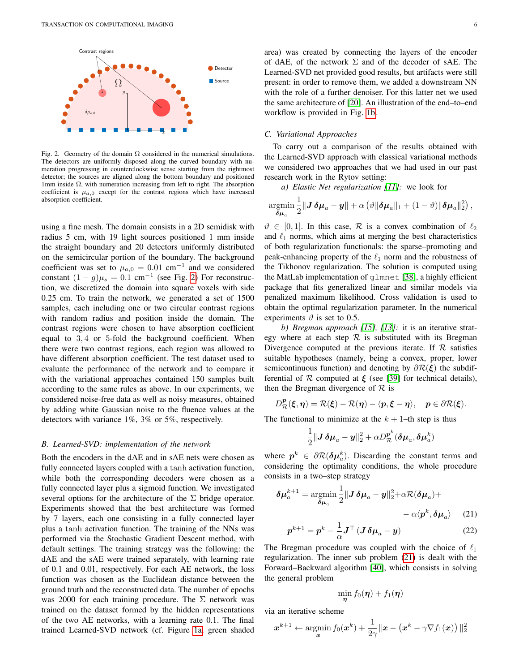

<span id="page-5-1"></span>Fig. 2. Geometry of the domain  $\Omega$  considered in the numerical simulations. The detectors are uniformly disposed along the curved boundary with numeration progressing in counterclockwise sense starting from the rightmost detector; the sources are aligned along the bottom boundary and positioned 1mm inside  $\Omega$ , with numeration increasing from left to right. The absorption coefficient is  $\mu_{a,0}$  except for the contrast regions which have increased absorption coefficient.

using a fine mesh. The domain consists in a 2D semidisk with radius 5 cm, with 19 light sources positioned 1 mm inside the straight boundary and 20 detectors uniformly distributed on the semicircular portion of the boundary. The background coefficient was set to  $\mu_{a,0} = 0.01$  cm<sup>-1</sup> and we considered constant  $(1 - g)\mu_s = 0.1$  cm<sup>-1</sup> (see Fig. [2\)](#page-5-1) For reconstruction, we discretized the domain into square voxels with side 0.25 cm. To train the network, we generated a set of 1500 samples, each including one or two circular contrast regions with random radius and position inside the domain. The contrast regions were chosen to have absorption coefficient equal to 3, 4 or 5-fold the background coefficient. When there were two contrast regions, each region was allowed to have different absorption coefficient. The test dataset used to evaluate the performance of the network and to compare it with the variational approaches contained 150 samples built according to the same rules as above. In our experiments, we considered noise-free data as well as noisy measures, obtained by adding white Gaussian noise to the fluence values at the detectors with variance 1%, 3% or 5%, respectively.

#### *B. Learned-SVD: implementation of the network*

Both the encoders in the dAE and in sAE nets were chosen as fully connected layers coupled with a tanh activation function, while both the corresponding decoders were chosen as a fully connected layer plus a sigmoid function. We investigated several options for the architecture of the  $\Sigma$  bridge operator. Experiments showed that the best architecture was formed by 7 layers, each one consisting in a fully connected layer plus a tanh activation function. The training of the NNs was performed via the Stochastic Gradient Descent method, with default settings. The training strategy was the following: the dAE and the sAE were trained separately, with learning rate of 0.1 and 0.01, respectively. For each AE network, the loss function was chosen as the Euclidean distance between the ground truth and the reconstructed data. The number of epochs was 2000 for each training procedure. The  $\Sigma$  network was trained on the dataset formed by the hidden representations of the two AE networks, with a learning rate 0.1. The final trained Learned-SVD network (cf. Figure [1a,](#page-4-3) green shaded area) was created by connecting the layers of the encoder of dAE, of the network  $\Sigma$  and of the decoder of sAE. The Learned-SVD net provided good results, but artifacts were still present: in order to remove them, we added a downstream NN with the role of a further denoiser. For this latter net we used the same architecture of [\[20\]](#page-8-19). An illustration of the end–to–end workflow is provided in Fig. [1b.](#page-4-4)

# <span id="page-5-0"></span>*C. Variational Approaches*

To carry out a comparison of the results obtained with the Learned-SVD approach with classical variational methods we considered two approaches that we had used in our past research work in the Rytov setting:

*a) Elastic Net regularization [\[11\]](#page-8-10):* we look for

$$
\underset{\delta\mu_a}{\text{argmin}}\,\frac{1}{2}\|\boldsymbol{J}\,\delta\mu_a-\boldsymbol{y}\|+\alpha\left(\vartheta\|\delta\mu_a\|_1+(1-\vartheta)\|\delta\mu_a\|_2^2\right),
$$

 $\vartheta \in [0, 1]$ . In this case, R is a convex combination of  $\ell_2$ and  $\ell_1$  norms, which aims at merging the best characteristics of both regularization functionals: the sparse–promoting and peak-enhancing property of the  $\ell_1$  norm and the robustness of the Tikhonov regularization. The solution is computed using the MatLab implementation of glmnet [\[38\]](#page-9-17), a highly efficient package that fits generalized linear and similar models via penalized maximum likelihood. Cross validation is used to obtain the optimal regularization parameter. In the numerical experiments  $\vartheta$  is set to 0.5.

*b) Bregman approach [\[15\]](#page-8-14), [\[13\]](#page-8-12):* it is an iterative strategy where at each step  $\mathcal R$  is substituted with its Bregman Divergence computed at the previous iterate. If  $R$  satisfies suitable hypotheses (namely, being a convex, proper, lower semicontinuous function) and denoting by  $\partial \mathcal{R}(\xi)$  the subdifferential of  $R$  computed at  $\xi$  (see [\[39\]](#page-9-18) for technical details), then the Bregman divergence of  $\mathcal R$  is

$$
D^p_{\mathcal{R}}(\xi,\eta)=\mathcal{R}(\xi)-\mathcal{R}(\eta)-\langle p,\xi-\eta\rangle,\quad p\in\partial\mathcal{R}(\xi).
$$

The functional to minimize at the  $k + 1$ –th step is thus

$$
\frac{1}{2} \Vert \boldsymbol{J}\,\boldsymbol{\delta\mu}_a - \boldsymbol{y}\Vert_2^2 + \alpha D_{\mathcal{R}}^{\boldsymbol{p}^k}(\boldsymbol{\delta\mu}_a,\boldsymbol{\delta\mu}_a^k)
$$

where  $p^k \in \partial \mathcal{R}(\delta \mu_a^k)$ . Discarding the constant terms and considering the optimality conditions, the whole procedure consists in a two–step strategy

$$
\delta \mu_a^{k+1} = \underset{\delta \mu_a}{\text{argmin}} \frac{1}{2} \| J \, \delta \mu_a - y \|_2^2 + \alpha \mathcal{R} (\delta \mu_a) + \\ - \alpha \langle p^k, \delta \mu_a \rangle \tag{21}
$$

$$
p^{k+1} = p^k - \frac{1}{\alpha} \mathbf{J}^\top \left( \mathbf{J} \, \boldsymbol{\delta} \mu_a - \mathbf{y} \right) \tag{22}
$$

The Bregman procedure was coupled with the choice of  $\ell_1$ regularization. The inner sub problem [\(21\)](#page-5-2) is dealt with the Forward–Backward algorithm [\[40\]](#page-9-19), which consists in solving the general problem

<span id="page-5-2"></span>
$$
\min_{\boldsymbol{\eta}}f_0(\boldsymbol{\eta})+f_1(\boldsymbol{\eta})
$$

via an iterative scheme

$$
\boldsymbol{x}^{k+1} \leftarrow \operatornamewithlimits{argmin}_{\boldsymbol{x}} f_0(\boldsymbol{x}^k) + \frac{1}{2\gamma} \|\boldsymbol{x} - \left(\boldsymbol{x}^k - \gamma \nabla f_1(\boldsymbol{x})\right)\|_2^2
$$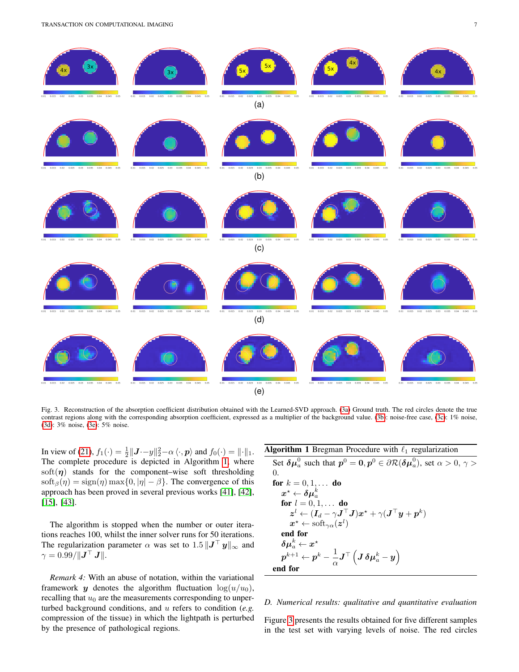TRANSACTION ON COMPUTATIONAL IMAGING 7 7

<span id="page-6-2"></span><span id="page-6-1"></span><span id="page-6-0"></span>

<span id="page-6-6"></span><span id="page-6-4"></span><span id="page-6-3"></span>Fig. 3. Reconstruction of the absorption coefficient distribution obtained with the Learned-SVD approach. [\(3a\)](#page-6-0) Ground truth. The red circles denote the true contrast regions along with the corresponding absorption coefficient, expressed as a multiplier of the background value. [\(3b\)](#page-6-1): noise-free case, [\(3c\)](#page-6-2): 1% noise, [\(3d\)](#page-6-3): 3% noise, [\(3e\)](#page-6-4): 5% noise.

In view of [\(21\)](#page-5-2),  $f_1(\cdot) = \frac{1}{2} ||\mathbf{J} \cdot \mathbf{-y}||_2^2 - \alpha \langle \cdot, \mathbf{p} \rangle$  and  $f_0(\cdot) = ||\cdot||_1$ . The complete procedure is depicted in Algorithm [1,](#page-6-5) where soft $(\eta)$  stands for the component–wise soft thresholding soft<sub>β</sub>( $\eta$ ) = sign( $\eta$ ) max{0, | $\eta$ | –  $\beta$ }. The convergence of this approach has been proved in several previous works [\[41\]](#page-9-20), [\[42\]](#page-9-21), [\[15\]](#page-8-14), [\[43\]](#page-9-22).

The algorithm is stopped when the number or outer iterations reaches 100, whilst the inner solver runs for 50 iterations. The regularization parameter  $\alpha$  was set to  $1.5 \|\mathbf{J}^\top \mathbf{y}\|_{\infty}$  and  $\gamma = 0.99 / || \boldsymbol{J}^\top \ \boldsymbol{J} ||.$ 

*Remark 4:* With an abuse of notation, within the variational framework y denotes the algorithm fluctuation  $log(u/u_0)$ , recalling that  $u_0$  are the measurements corresponding to unperturbed background conditions, and u refers to condition (*e.g.* compression of the tissue) in which the lightpath is perturbed by the presence of pathological regions.

<span id="page-6-5"></span>

| <b>Algorithm 1</b> Bregman Procedure with $\ell_1$ regularization                                                                                                                    |
|--------------------------------------------------------------------------------------------------------------------------------------------------------------------------------------|
| Set $\delta \mu^0_\alpha$ such that $p^0 = 0, p^0 \in \partial \mathcal{R}(\delta \mu^0_\alpha)$ , set $\alpha > 0, \gamma > 0$                                                      |
| $\Omega$ .                                                                                                                                                                           |
| for $k = 0, 1, $ do                                                                                                                                                                  |
| $\boldsymbol{x}^{\star} \leftarrow \boldsymbol{\delta\mu}_{a}^{k}$                                                                                                                   |
| <b>for</b> $l = 0, 1, \ldots$ <b>do</b>                                                                                                                                              |
| $\boldsymbol{z}^l \leftarrow (\boldsymbol{I}_d - \gamma \boldsymbol{J}^\top \boldsymbol{J}) \boldsymbol{x}^{\star} + \gamma (\boldsymbol{J}^\top \boldsymbol{y} + \boldsymbol{p}^k)$ |
| $x^* \leftarrow \text{soft}_{\gamma \alpha}(z^l)$                                                                                                                                    |
| end for                                                                                                                                                                              |
| $\boldsymbol{\delta\mu}^{k}_{a} \leftarrow \boldsymbol{x^{\star}}$                                                                                                                   |
| $\boldsymbol{p}^{k+1} \leftarrow \boldsymbol{p}^k - \frac{1}{\alpha} \boldsymbol{J}^\top \left( \boldsymbol{J} \, \boldsymbol{\delta} \boldsymbol{\mu}^k_a - \boldsymbol{y} \right)$ |
| end for                                                                                                                                                                              |

# *D. Numerical results: qualitative and quantitative evaluation*

Figure [3](#page-6-6) presents the results obtained for five different samples in the test set with varying levels of noise. The red circles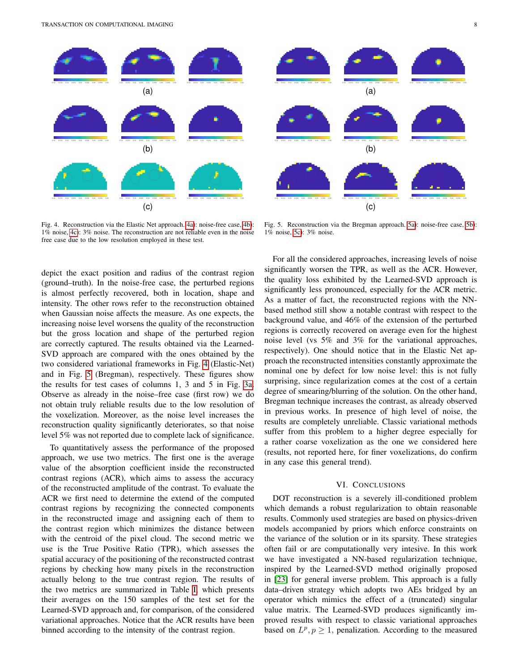TRANSACTION ON COMPUTATIONAL IMAGING 8

<span id="page-7-2"></span><span id="page-7-1"></span>

<span id="page-7-4"></span><span id="page-7-3"></span>Fig. 4. Reconstruction via the Elastic Net approach. [4a\)](#page-7-1): noise-free case, [4b\)](#page-7-2): 1% noise, [4c\)](#page-7-3): 3% noise. The reconstruction are not reliable even in the noise free case due to the low resolution employed in these test.

depict the exact position and radius of the contrast region (ground–truth). In the noise-free case, the perturbed regions is almost perfectly recovered, both in location, shape and intensity. The other rows refer to the reconstruction obtained when Gaussian noise affects the measure. As one expects, the increasing noise level worsens the quality of the reconstruction but the gross location and shape of the perturbed region are correctly captured. The results obtained via the Learned-SVD approach are compared with the ones obtained by the two considered variational frameworks in Fig. [4](#page-7-4) (Elastic-Net) and in Fig. [5](#page-7-5) (Bregman), respectively. These figures show the results for test cases of columns 1, 3 and 5 in Fig. [3a.](#page-6-0) Observe as already in the noise–free case (first row) we do not obtain truly reliable results due to the low resolution of the voxelization. Moreover, as the noise level increases the reconstruction quality significantly deteriorates, so that noise level 5% was not reported due to complete lack of significance.

To quantitatively assess the performance of the proposed approach, we use two metrics. The first one is the average value of the absorption coefficient inside the reconstructed contrast regions (ACR), which aims to assess the accuracy of the reconstructed amplitude of the contrast. To evaluate the ACR we first need to determine the extend of the computed contrast regions by recognizing the connected components in the reconstructed image and assigning each of them to the contrast region which minimizes the distance between with the centroid of the pixel cloud. The second metric we use is the True Positive Ratio (TPR), which assesses the spatial accuracy of the positioning of the reconstructed contrast regions by checking how many pixels in the reconstruction actually belong to the true contrast region. The results of the two metrics are summarized in Table [I,](#page-8-20) which presents their averages on the 150 samples of the test set for the Learned-SVD approach and, for comparison, of the considered variational approaches. Notice that the ACR results have been binned according to the intensity of the contrast region.

<span id="page-7-7"></span><span id="page-7-6"></span>

<span id="page-7-8"></span><span id="page-7-5"></span>Fig. 5. Reconstruction via the Bregman approach. [5a\)](#page-7-6): noise-free case, [5b\)](#page-7-7): 1% noise, [5c\)](#page-7-8): 3% noise.

For all the considered approaches, increasing levels of noise significantly worsen the TPR, as well as the ACR. However, the quality loss exhibited by the Learned-SVD approach is significantly less pronounced, especially for the ACR metric. As a matter of fact, the reconstructed regions with the NNbased method still show a notable contrast with respect to the background value, and 46% of the extension of the perturbed regions is correctly recovered on average even for the highest noise level (vs 5% and 3% for the variational approaches, respectively). One should notice that in the Elastic Net approach the reconstructed intensities constantly approximate the nominal one by defect for low noise level: this is not fully surprising, since regularization comes at the cost of a certain degree of smearing/blurring of the solution. On the other hand, Bregman technique increases the contrast, as already observed in previous works. In presence of high level of noise, the results are completely unreliable. Classic variational methods suffer from this problem to a higher degree especially for a rather coarse voxelization as the one we considered here (results, not reported here, for finer voxelizations, do confirm in any case this general trend).

# VI. CONCLUSIONS

<span id="page-7-0"></span>DOT reconstruction is a severely ill-conditioned problem which demands a robust regularization to obtain reasonable results. Commonly used strategies are based on physics-driven models accompanied by priors which enforce constraints on the variance of the solution or in its sparsity. These strategies often fail or are computationally very intesive. In this work we have investigated a NN-based regularization technique, inspired by the Learned-SVD method originally proposed in [\[23\]](#page-9-2) for general inverse problem. This approach is a fully data–driven strategy which adopts two AEs bridged by an operator which mimics the effect of a (truncated) singular value matrix. The Learned-SVD produces significantly improved results with respect to classic variational approaches based on  $L^p, p \ge 1$ , penalization. According to the measured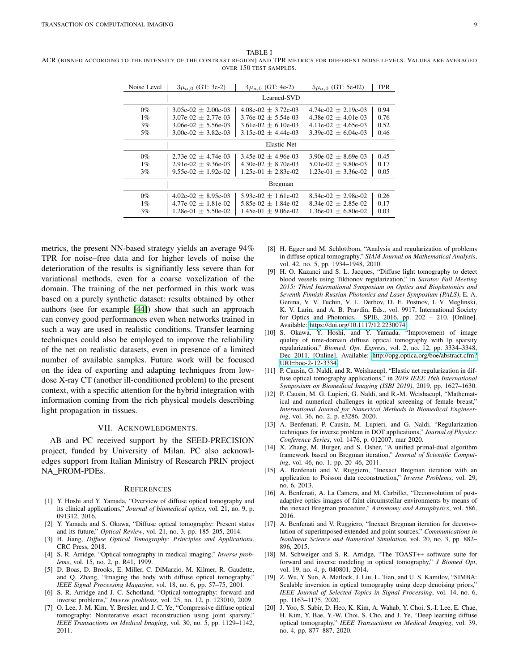Noise Level  $\begin{array}{|l|} 3\mu_{a,0} \text{ (GT: 3e-2)} & 4\mu_{a,0} \text{ (GT: 4e-2)} & 5\mu_{a,0} \text{ (GT: 5e-02)} & \text{TPR} \end{array}$ Learned-SVD 0%  $\mid$  3.05e-02  $\pm$  2.00e-03 | 4.08e-02  $\pm$  3.72e-03 | 4.74e-02  $\pm$  2.19e-03 | 0.94 1% 3.07e-02 ± 2.77e-03 3.76e-02 ± 5.54e-03 4.38e-02 ± 4.01e-03 0.76  $3.06e-02 \pm 5.56e-03$   $3.61e-02 \pm 6.10e-03$   $4.11e-02 \pm 4.65e-03$ <br> $3.00e-02 \pm 3.82e-03$   $3.15e-02 \pm 4.44e-03$   $3.39e-02 \pm 6.04e-03$  $5\%$  3.00e-02  $\pm$  3.82e-03 3.15e-02  $\pm$  4.44e-03 3.39e-02  $\pm$  6.04e-03 0.46 Elastic Net 0% | 2.73e-02  $\pm$  4.74e-03 | 3.45e-02  $\pm$  4.96e-03 | 3.90e-02  $\pm$  8.69e-03 | 0.45  $1\%$  2.91e-02  $\pm$  9.36e-03 4.30e-02  $\pm$  8.70e-03 5.01e-02  $\pm$  9.80e-03 0.17  $3\%$  | 9.55e-02  $\pm$  1.92e-02 | 1.25e-01  $\pm$  2.83e-02 | 1.23e-01  $\pm$  3.36e-02 | 0.05 Bregman 0%  $\begin{array}{|l|c|c|c|c|c|}\n\hline\n0\% & 4.02\text{e}-02 \pm 8.95\text{e}-03 & 5.93\text{e}-02 \pm 1.61\text{e}-02 & 8.54\text{e}-02 \pm 2.98\text{e}-02 & 0.26 \\
\hline\n1\% & 4.77\text{e}-02 \pm 1.81\text{e}-02 & 5.85\text{e}-02 \pm 1.84\text{e}-02 & 8.34\text{e}-02 \pm 2.85\text{e}-02 & 0.17\n\end{array}$ 1% 4.77e-02 ± 1.81e-02 5.85e-02 ± 1.84e-02 8.34e-02 ± 2.85e-02 0.17  $1.28e-01 \pm 5.50e-02$  |  $1.45e-01 \pm 9.06e-02$  |  $1.36e-01 \pm 6.80e-02$  | 0.03

<span id="page-8-20"></span>ACR (BINNED ACCORDING TO THE INTENSITY OF THE CONTRAST REGION) AND TPR METRICS FOR DIFFERENT NOISE LEVELS. VALUES ARE AVERAGED OVER 150 TEST SAMPLES.

TABLE I

| metrics, the present NN-based strategy yields an average 94%       |
|--------------------------------------------------------------------|
| TPR for noise–free data and for higher levels of noise the         |
| deterioration of the results is signifiantly less severe than for  |
| variational methods, even for a coarse voxelization of the         |
| domain. The training of the net performed in this work was         |
| based on a purely synthetic dataset: results obtained by other     |
| authors (see for example [44]) show that such an approach          |
| can convey good performances even when networks trained in         |
| such a way are used in realistic conditions. Transfer learning     |
| techniques could also be employed to improve the reliability       |
| of the net on realistic datasets, even in presence of a limited    |
| number of available samples. Future work will be focused           |
| on the idea of exporting and adapting techniques from low-         |
| dose X-ray CT (another ill-conditioned problem) to the present     |
| context, with a specific attention for the hybrid integration with |
|                                                                    |
| light propagation in tissues.                                      |
| information coming from the rich physical models describing        |
|                                                                    |

#### VII. ACKNOWLEDGMENTS.

AB and PC received support by the SEED-PRECISION project, funded by University of Milan. PC also acknowledges support from Italian Ministry of Research PRIN project NA FROM-PDEs.

#### **REFERENCES**

- <span id="page-8-0"></span>[1] Y. Hoshi and Y. Yamada, "Overview of diffuse optical tomography and its clinical applications," *Journal of biomedical optics*, vol. 21, no. 9, p. 091312, 2016.
- <span id="page-8-1"></span>[2] Y. Yamada and S. Okawa, "Diffuse optical tomography: Present status and its future," *Optical Review*, vol. 21, no. 3, pp. 185–205, 2014.
- <span id="page-8-2"></span>[3] H. Jiang, *Diffuse Optical Tomography: Principles and Applications*. CRC Press, 2018.
- <span id="page-8-3"></span>[4] S. R. Arridge, "Optical tomography in medical imaging," *Inverse problems*, vol. 15, no. 2, p. R41, 1999.
- <span id="page-8-4"></span>[5] D. Boas, D. Brooks, E. Miller, C. DiMarzio, M. Kilmer, R. Gaudette, and Q. Zhang, "Imaging the body with diffuse optical tomography," *IEEE Signal Processing Magazine*, vol. 18, no. 6, pp. 57–75, 2001.
- <span id="page-8-5"></span>[6] S. R. Arridge and J. C. Schotland, "Optical tomography: forward and inverse problems," *Inverse problems*, vol. 25, no. 12, p. 123010, 2009.
- <span id="page-8-6"></span>[7] O. Lee, J. M. Kim, Y. Bresler, and J. C. Ye, "Compressive diffuse optical tomography: Noniterative exact reconstruction using joint sparsity," *IEEE Transactions on Medical Imaging*, vol. 30, no. 5, pp. 1129–1142, 2011.
- <span id="page-8-7"></span>[8] H. Egger and M. Schlottbom, "Analysis and regularization of problems in diffuse optical tomography," *SIAM Journal on Mathematical Analysis*, vol. 42, no. 5, pp. 1934–1948, 2010.
- <span id="page-8-8"></span>[9] H. O. Kazanci and S. L. Jacques, "Diffuse light tomography to detect blood vessels using Tikhonov regularization," in *Saratov Fall Meeting 2015: Third International Symposium on Optics and Biophotonics and Seventh Finnish-Russian Photonics and Laser Symposium (PALS)*, E. A. Genina, V. V. Tuchin, V. L. Derbov, D. E. Postnov, I. V. Meglinski, K. V. Larin, and A. B. Pravdin, Eds., vol. 9917, International Society for Optics and Photonics. SPIE, 2016, pp. 202 – 210. [Online]. Available:<https://doi.org/10.1117/12.2230074>
- <span id="page-8-9"></span>[10] S. Okawa, Y. Hoshi, and Y. Yamada, "Improvement of image quality of time-domain diffuse optical tomography with lp sparsity regularization," *Biomed. Opt. Express*, vol. 2, no. 12, pp. 3334–3348, Dec 2011. [Online]. Available: [http://opg.optica.org/boe/abstract.cfm?](http://opg.optica.org/boe/abstract.cfm?URI=boe-2-12-3334) [URI=boe-2-12-3334](http://opg.optica.org/boe/abstract.cfm?URI=boe-2-12-3334)
- <span id="page-8-10"></span>[11] P. Causin, G. Naldi, and R. Weishaeupl, "Elastic net regularization in diffuse optical tomography applications," in *2019 IEEE 16th International Symposium on Biomedical Imaging (ISBI 2019)*, 2019, pp. 1627–1630.
- <span id="page-8-11"></span>[12] P. Causin, M. G. Lupieri, G. Naldi, and R.-M. Weishaeupl, "Mathematical and numerical challenges in optical screening of female breast," *International Journal for Numerical Methods in Biomedical Engineering*, vol. 36, no. 2, p. e3286, 2020.
- <span id="page-8-12"></span>[13] A. Benfenati, P. Causin, M. Lupieri, and G. Naldi, "Regularization techniques for inverse problem in DOT applications," *Journal of Physics: Conference Series*, vol. 1476, p. 012007, mar 2020.
- <span id="page-8-13"></span>[14] X. Zhang, M. Burger, and S. Osher, "A unified primal-dual algorithm framework based on Bregman iteration," *Journal of Scientific Computing*, vol. 46, no. 1, pp. 20–46, 2011.
- <span id="page-8-14"></span>[15] A. Benfenati and V. Ruggiero, "Inexact Bregman iteration with an application to Poisson data reconstruction," *Inverse Problems*, vol. 29, no. 6, 2013.
- <span id="page-8-15"></span>[16] A. Benfenati, A. La Camera, and M. Carbillet, "Deconvolution of postadaptive optics images of faint circumstellar environments by means of the inexact Bregman procedure," *Astronomy and Astrophysics*, vol. 586, 2016.
- <span id="page-8-16"></span>[17] A. Benfenati and V. Ruggiero, "Inexact Bregman iteration for deconvolution of superimposed extended and point sources," *Communications in Nonlinear Science and Numerical Simulation*, vol. 20, no. 3, pp. 882– 896, 2015.
- <span id="page-8-17"></span>[18] M. Schweiger and S. R. Arridge, "The TOAST++ software suite for forward and inverse modeling in optical tomography," *J Biomed Opt*, vol. 19, no. 4, p. 040801, 2014.
- <span id="page-8-18"></span>[19] Z. Wu, Y. Sun, A. Matlock, J. Liu, L. Tian, and U. S. Kamilov, "SIMBA: Scalable inversion in optical tomography using deep denoising priors," *IEEE Journal of Selected Topics in Signal Processing*, vol. 14, no. 6, pp. 1163–1175, 2020.
- <span id="page-8-19"></span>[20] J. Yoo, S. Sabir, D. Heo, K. Kim, A. Wahab, Y. Choi, S.-I. Lee, E. Chae, H. Kim, Y. Bae, Y.-W. Choi, S. Cho, and J. Ye, "Deep learning diffuse optical tomography," *IEEE Transactions on Medical Imaging*, vol. 39, no. 4, pp. 877–887, 2020.